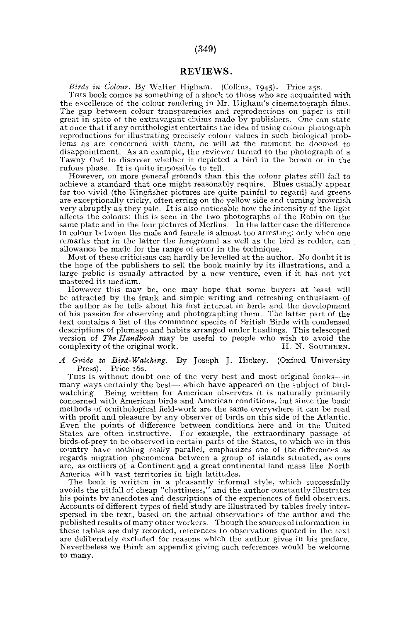## (349)

## REVIEWS.

*Birds in Colour.* By Walter Higham. (Collins, 1945). Price 25s.

THIS book comes as something of a shock to those who are acquainted with the excellence of the colour rendering in Mr. Higham's cinematograph films. The gap between colour transparencies and reproductions on paper is still great in spite of the extravagant claims made by publishers. One can state at once that if any ornithologist entertains the idea of using colour photograph reproductions for illustrating precisely colour values in such biological problems as are concerned with them, he will at the moment be doomed to disappointment. As an example, the reviewer turned to the photograph of a Tawny Owl to discover whether it depicted a bird in the brown or in the rufous phase. It is quite impossible to tell.

However, on more general grounds than this the colour plates still fail to achieve a standard that one might reasonably require. Blues usually appear far too vivid (the Kingfisher pictures are quite painful to regard) and greens are exceptionally tricky, often erring on the yellow side and turning brownish very abruptly as they pale. It is also noticeable how the intensity of the light affects the colours: this is seen in the two photographs of the Robin on the same plate and in the four pictures of Merlins. In the latter case the difference in colour between the male and female is almost too arresting: only when one remarks that in the latter the foreground as well as the bird is redder, can allowance be made for the range of error in the technique.

Most of these criticisms can hardly be levelled at the author. No doubt it is the hope of the publishers to sell the book mainly by its illustrations, and a large public is usually attracted by a new venture, even if it has not yet mastered its medium.

However this may be, one may hope that some buyers at least will be attracted by the frank and simple writing and refreshing enthusiasm of the author as he tells about his first interest in birds and the development of his passion for observing and photographing them. The latter part of the text contains a list of the commoner species of British Birds with condensed descriptions of plumage and habits arranged under headings. This telescoped version of *The Handbook* may be useful to people who wish to avoid the complexity of the original work.

*A Guide to Bird-Watching,* By Joseph J. Hickey. (Oxford University Press). Price 16s.

THIS is without doubt one of the very best and most original books—in many ways certainly the best— which have appeared on the subject of bird-watching. Being written for American observers it is naturally primarily concerned with American birds and American conditions, but since the basic methods of ornithological field-work are the same everywhere it can be read with profit and pleasure by any observer of birds on this side of the Atlantic. Even the points of difference between conditions here and in the United States are often instructive. For example, the extraordinary passage of birds-of-prey to be observed in certain parts of the States, to which we in this country have nothing really parallel, emphasizes one of the differences as regards migration phenomena between a group of islands situated, as ours are, as outliers of a Continent and a great continental land mass like North America with vast territories in high latitudes.

The book is written in a pleasantly informal style, which successfully avoids the pitfall of cheap "chattiness," and the author constantly illustrates his points by anecdotes and descriptions of the experiences of field observers. Accounts of different types of field study are illustrated by tables freely interspersed in the text, based on the actual observations of the author and the published results of many other workers. Though the sources of information in these tables are duly recorded, references to observations quoted in the text are deliberately excluded for reasons which the author gives in his preface. Nevertheless we think an appendix giving such references would be welcome to many.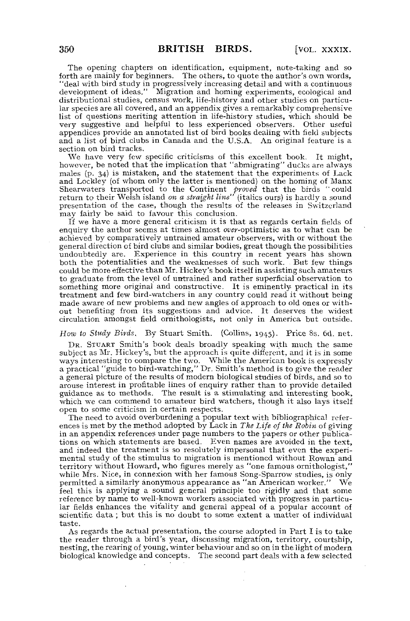The opening chapters on identification, equipment, note-taking and so forth are mainly for beginners. The others, to quote the author's own words, "deal with bird study in progressively increasing detail and with a continuous development of ideas." Migration and homing experiments, ecological and distributional studies, census work, life-history and other studies on particular species are all covered, and an appendix gives a remarkably comprehensive list of questions meriting attention in life-history studies, which should be very suggestive and helpful to less experienced observers. Other useful appendices provide an annotated list of bird books dealing with field subjects and a list of bird clubs in Canada and the U.S.A. An original feature is a section on bird tracks.

We have very few specific criticisms of this excellent book. It might, however, be noted that the implication that "abmigrating" ducks are always<br>males (p. 34) is mistaken, and the statement that the experiments of Lack and Lockley (of whom only the latter is mentioned) on the homing of Manx Shearwaters transported to the Continent *proved* that the birds "could return to their Weish island *on a straight line*" (italics ours) is hardly a sound presentation of the case, though the results of the releases in Switzerland may fairly be said to favour this conclusion.

If we have a more general criticism it is that as regards certain fields of enquiry the author seems at times almost *over*-optimistic as to what can be achieved by comparatively untrained amateur observers, with or without the general direction of bird clubs and similar bodies, great though the possibilities undoubtedly are. Experience in this country in recent years has shown both the potentialities and the weaknesses of such work. But few things could be more effective than Mr. Hickey's book itself in assisting such amateurs to graduate from the level of untrained and rather superficial observation to something more original and constructive. It is eminently practical in its treatment and few bird-watchers in any country could read it without being made aware of new problems and new angles of approach to old ones or without benefiting from its suggestions and advice. It deserves the widest circulation amongst field ornithologists, not only in America but outside.

*How to Study Birds.* By Stuart Smith. (Collins, 1945). Price 8s. 6d. net.

DR. STUART Smith's book deals broadly speaking with much the same subject as Mr. Hickey's, but the approach is quite different, and it is in some ways interesting to compare the two. While the American book is expressly a practical "guide to bird-watching," Dr. Smith's method is to give the reader a general picture of the results of modern biological studies of birds, and so to arouse interest in profitable lines of enquiry rather than to provide detailed guidance as to methods. The result is a stimulating and interesting book, which we can commend to amateur bird watchers, though it also lays itself open to some criticism in certain respects.

The need to avoid overburdening a popular text with bibliographical references is met by the method adopted by Lack in *The Life of the Robin* of giving in an appendix references under page numbers to the papers or other publications on which statements are based. Even names are avoided in the text, and indeed the treatment is so resolutely impersonal that even the experimental study of the stimulus to migration is mentioned without Rowan and territory without Howard, who figures merely as "one famous ornithologist," while Mrs. Nice, in connexion with her famous Song-Sparrow studies, is only permitted a similarly anonymous appearance as "an American worker." We feel this is applying a sound general principle too rigidly and that some reference by name to well-known workers associated with progress in particular fields enhances the vitality and general appeal of a popular account of scientific data ; but this is no doubt to some extent a matter of individual taste.

As regards the actual presentation, the course adopted in Part I is to take the reader through a bird's year, discussing migration, territory, courtship, nesting, the rearing of young, winter behaviour and so on in the light of modern biological knowledge and concepts. The second part deals with a few selected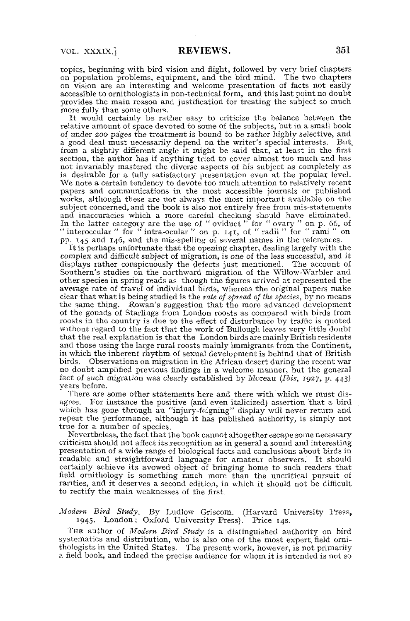topics, beginning with bird vision and flight, followed by very briei chapters on population problems, equipment, and the bird mind. The two chapters on vision are an interesting and welcome presentation of facts not easily accessible to ornithologists in non-technical form, and this last point no doubt provides the main reason and justification for treating the subject so much more fully than some others.

It would certainly be rather easy to criticize the balance between the relative amount of space devoted to some of the subjects, but in a small book of under 200 pages the treatment is bound to be rather highly selective, and a good deal must necessarily depend on the writer's special interests. But, from a slightly different angle it might be said that, at least in the first section, the author has if anything tried to cover almost too much and has not invariably mastered the diverse aspects of his subject as completely as is desirable for a fully satisfactory presentation even at the popular level. We note a certain tendency to devote too much attention to relatively recent papers and communications in the most accessible journals or published works, although these are not always the most important available on the subject concerned, and the book is also not entirely free from mis-statements and inaccuracies which a more careful checking should have eliminated. In the latter category are the use of " oviduct " for " ovary " on p. 66, of " interoccular " for " intra-ocular " on p. 141, of. " radii " for " rami " on pp. 145 and 146, and the mis-spelling of several names in the references.

It is perhaps unfortunate that the opening chapter, dealing largely with the complex and difficult subject of migration, is one of the less successful, and it displays rather conspicuously the defects just mentioned. The account of Southern's studies on the northward migration of the Willow-Warbler and other species in spring reads as though the figures arrived at represented the average rate of travel of individual birds, whereas the original papers make clear that what is being studied is the *rate of spread of the species,* by no means the same thing. Rowan's suggestion that the more advanced development of the gonads of Starlings from London roosts as compared with birds from roosts in the country is due to the effect of disturbance by traffic is quoted without regard to the fact that the work of Bullough leaves very little doubt that the real explanation is that the London birds are mainly British residents and those using the large rural roosts mainly immigrants from the Continent, in which the inherent rhythm of sexual development is behind that of British birds. Observations on migration in the African desert during the recent war no doubt amplified previous findings in a welcome manner, but the general fact of such migration was clearly established by Moreau *(Ibis,* 1927, p. 443) years before.

There are some other statements here and there with which we must disagree. For instance the positive (and even italicized) assertion that a bird which has gone through an "injury-feigning" display will never return and repeat the performance, although it has published authority, is simply not true for a number of species.

Nevertheless, the fact that the book cannot altogether escape some necessary criticism should not affect its recognition as in general a sound and interesting presentation of a wide range of biological facts and conclusions about birds in readable and straightforward language for amateur observers. It should certainly achieve its avowed object of bringing home to such readers that field ornithology is something much more than the uncritical pursuit of rarities, and it deserves a second edition, in which it should not be difficult to rectify the main weaknesses of the first.

## *Modem Bird Study.* By Ludlow Griscom. (Harvard University Press, 1945. London; Oxford University Press). Price 14s.

THE author of *Modern Bird Study* is a distinguished authority on bird systematica and distribution, who is also one of the most expert, field ornithologists in the United States. The present work, however, is not primarily a field book, and indeed the precise audience for whom it is intended is not so